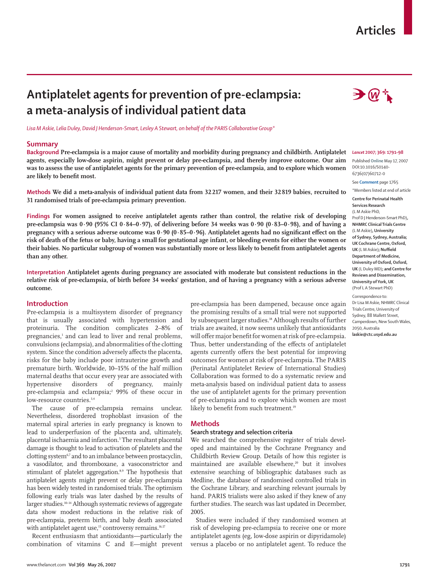## **Articles**

# **Antiplatelet agents for prevention of pre-eclampsia: a meta-analysis of individual patient data**

*Lisa M Askie, Lelia Duley, David J Henderson-Smart, Lesley A Stewart, on behalf of the PARIS Collaborative Group\**

### **Summary**

**Background Pre-eclampsia is a major cause of mortality and morbidity during pregnancy and childbirth. Antiplatelet agents, especially low-dose aspirin, might prevent or delay pre-eclampsia, and thereby improve outcome. Our aim was to assess the use of antiplatelet agents for the primary prevention of pre-eclampsia, and to explore which women**  are likely to benefit most.

**Methods We did a meta-analysis of individual patient data from 32 217 women, and their 32 819 babies, recruited to 31 randomised trials of pre-eclampsia primary prevention.**

**Findings For women assigned to receive antiplatelet agents rather than control, the relative risk of developing pre-eclampsia was 0·90 (95% CI 0·84–0·97), of delivering before 34 weeks was 0·90 (0·83–0·98), and of having a pregnancy with a serious adverse outcome was**  $0.90 (0.85-0.96)$ **. Antiplatelet agents had no significant effect on the risk of death of the fetus or baby, having a small for gestational age infant, or bleeding events for either the women or their babies. No particular subgroup of women was substantially more or less likely to benefi t from antiplatelet agents than any other.**

**Interpretation Antiplatelet agents during pregnancy are associated with moderate but consistent reductions in the relative risk of pre-eclampsia, of birth before 34 weeks' gestation, and of having a pregnancy with a serious adverse outcome.** 

## **Introduction**

Pre-eclampsia is a multisystem disorder of pregnancy that is usually associated with hypertension and proteinuria. The condition complicates 2–8% of pregnancies,<sup>1</sup> and can lead to liver and renal problems, convulsions (eclampsia), and abnormalities of the clotting system. Since the condition adversely affects the placenta, risks for the baby include poor intrauterine growth and premature birth. Worldwide, 10–15% of the half million maternal deaths that occur every year are associated with hypertensive disorders of pregnancy, mainly pre-eclampsia and eclampsia;2 99% of these occur in low-resource countries.<sup>3,4</sup>

The cause of pre-eclampsia remains unclear. Nevertheless, disordered trophoblast invasion of the maternal spiral arteries in early pregnancy is known to lead to underperfusion of the placenta and, ultimately, placental ischaemia and infarction.5 The resultant placental damage is thought to lead to activation of platelets and the clotting system<sup>6,7</sup> and to an imbalance between prostacyclin, a vasodilator, and thromboxane, a vasoconstrictor and stimulant of platelet aggregation.<sup>8,9</sup> The hypothesis that antiplatelet agents might prevent or delay pre-eclampsia has been widely tested in randomised trials. The optimism following early trials was later dashed by the results of larger studies.<sup>10–14</sup> Although systematic reviews of aggregate data show modest reductions in the relative risk of pre-eclampsia, preterm birth, and baby death associated with antiplatelet agent use,<sup>15</sup> controversy remains.<sup>16,17</sup>

Recent enthusiasm that antioxidants—particularly the combination of vitamins C and E—might prevent pre-eclampsia has been dampened, because once again the promising results of a small trial were not supported by subsequent larger studies.<sup>18</sup> Although results of further trials are awaited, it now seems unlikely that antioxidants will offer major benefit for women at risk of pre-eclampsia. Thus, better understanding of the effects of antiplatelet agents currently offers the best potential for improving outcomes for women at risk of pre-eclampsia. The PARIS (Perinatal Antiplatelet Review of International Studies) Collaboration was formed to do a systematic review and meta-analysis based on individual patient data to assess the use of antiplatelet agents for the primary prevention of pre-eclampsia and to explore which women are most likely to benefit from such treatment.<sup>19</sup>

#### **Methods**

### **Search strategy and selection criteria**

We searched the comprehensive register of trials developed and maintained by the Cochrane Pregnancy and Childbirth Review Group. Details of how this register is maintained are available elsewhere,<sup>20</sup> but it involves extensive searching of bibliographic databases such as Medline, the database of randomised controlled trials in the Cochrane Library, and searching relevant journals by hand. PARIS trialists were also asked if they knew of any further studies. The search was last updated in December, 2005.

Studies were included if they randomised women at risk of developing pre-eclampsia to receive one or more antiplatelet agents (eg, low-dose aspirin or dipyridamole) versus a placebo or no antiplatelet agent. To reduce the



#### *Lancet* **2007; 369: 1791–98**

Published **Online** May 17, 2007 DOI:10.1016/S0140- 6736(07)60712-0

See **Comment** page 1765

\*Members listed at end of article

**Centre for Perinatal Health Services Research** (L M Askie PhD, Prof D J Henderson-Smart PhD)**, NHMRC Clinical Trials Centre** (L M Askie)**, University of Sydney, Sydney, Australia; UK Cochrane Centre, Oxford, UK** (L M Askie): Nuffield **Department of Medicine, University of Oxford, Oxford, UK** (L Duley MD)**; and Centre for Reviews and Dissemination,** 

**University of York, UK** (Prof L A Stewart PhD)

Correspondence to: Dr Lisa M Askie, NHMRC Clinical Trials Centre, University of Sydney, 88 Mallett Street, Camperdown, New South Wales, 2050, Australia **laskie@ctc.usyd.edu.au**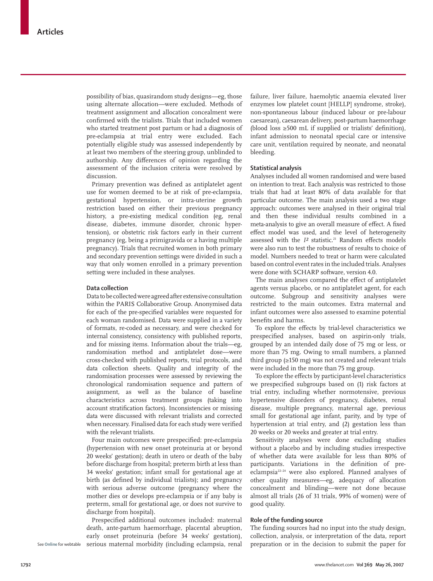possibility of bias, quasirandom study designs—eg, those using alternate allocation—were excluded. Methods of treatment assignment and allocation concealment were confirmed with the trialists. Trials that included women who started treatment post partum or had a diagnosis of pre-eclampsia at trial entry were excluded. Each potentially eligible study was assessed independently by at least two members of the steering group, unblinded to authorship. Any differences of opinion regarding the assessment of the inclusion criteria were resolved by discussion.

Primary prevention was defined as antiplatelet agent use for women deemed to be at risk of pre-eclampsia, gestational hypertension, or intra-uterine growth restriction based on either their previous pregnancy history, a pre-existing medical condition (eg, renal disease, diabetes, immune disorder, chronic hypertension), or obstetric risk factors early in their current pregnancy (eg, being a primigravida or a having multiple pregnancy). Trials that recruited women in both primary and secondary prevention settings were divided in such a way that only women enrolled in a primary prevention setting were included in these analyses.

#### **Data collection**

Data to be collected were agreed after extensive consultation within the PARIS Collaborative Group. Anonymised data for each of the pre-specified variables were requested for each woman randomised. Data were supplied in a variety of formats, re-coded as necessary, and were checked for internal consistency, consistency with published reports, and for missing items. Information about the trials—eg, randomisation method and antiplatelet dose—were cross-checked with published reports, trial protocols, and data collection sheets. Quality and integrity of the randomisation processes were assessed by reviewing the chronological randomisation sequence and pattern of assignment, as well as the balance of baseline characteristics across treatment groups (taking into account stratification factors). Inconsistencies or missing data were discussed with relevant trialists and corrected when necessary. Finalised data for each study were verified with the relevant trialists.

Four main outcomes were prespecified: pre-eclampsia (hypertension with new onset proteinuria at or beyond 20 weeks' gestation); death in utero or death of the baby before discharge from hospital; preterm birth at less than 34 weeks' gestation; infant small for gestational age at birth (as defined by individual trialists); and pregnancy with serious adverse outcome (pregnancy where the mother dies or develops pre-eclampsia or if any baby is preterm, small for gestational age, or does not survive to discharge from hospital).

Prespecified additional outcomes included: maternal death, ante-partum haemorrhage, placental abruption, early onset proteinuria (before 34 weeks' gestation), failure, liver failure, haemolytic anaemia elevated liver enzymes low platelet count [HELLP] syndrome, stroke), non-spontaneous labour (induced labour or pre-labour caesarean), caesarean delivery, post-partum haemorrhage (blood loss  $\geq 500$  mL if supplied or trialists' definition), infant admission to neonatal special care or intensive care unit, ventilation required by neonate, and neonatal bleeding.

## **Statistical analysis**

Analyses included all women randomised and were based on intention to treat. Each analysis was restricted to those trials that had at least 80% of data available for that particular outcome. The main analysis used a two stage approach: outcomes were analysed in their original trial and then these individual results combined in a meta-analysis to give an overall measure of effect. A fixed effect model was used, and the level of heterogeneity assessed with the *I*<sup>2</sup> statistic.<sup>21</sup> Random effects models were also run to test the robustness of results to choice of model. Numbers needed to treat or harm were calculated based on control event rates in the included trials. Analyses were done with SCHARP software, version 4.0.

The main analyses compared the effect of antiplatelet agents versus placebo, or no antiplatelet agent, for each outcome. Subgroup and sensitivity analyses were restricted to the main outcomes. Extra maternal and infant outcomes were also assessed to examine potential benefits and harms.

To explore the effects by trial-level characteristics we prespecified analyses, based on aspirin-only trials, grouped by an intended daily dose of 75 mg or less, or more than 75 mg. Owing to small numbers, a planned third group (≥150 mg) was not created and relevant trials were included in the more than 75 mg group.

To explore the effects by participant-level characteristics we prespecified subgroups based on (1) risk factors at trial entry, including whether normotensive, previous hypertensive disorders of pregnancy, diabetes, renal disease, multiple pregnancy, maternal age, previous small for gestational age infant, parity, and by type of hypertension at trial entry, and (2) gestation less than 20 weeks or 20 weeks and greater at trial entry.

Sensitivity analyses were done excluding studies without a placebo and by including studies irrespective of whether data were available for less than 80% of participants. Variations in the definition of preeclampsia22–24 were also explored. Planned analyses of other quality measures—eg, adequacy of allocation concealment and blinding—were not done because almost all trials (26 of 31 trials, 99% of women) were of good quality.

## **Role of the funding source**

See Online forwebtable serious maternal morbidity (including eclampsia, renal preparation or in the decision to submit the paper for The funding sources had no input into the study design, collection, analysis, or interpretation of the data, report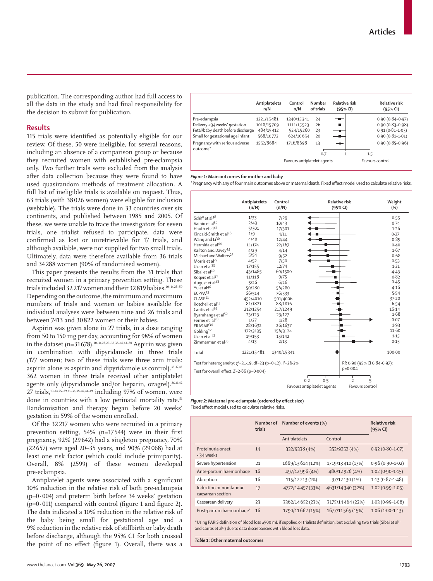publication. The corresponding author had full access to all the data in the study and had final responsibility for the decision to submit for publication.

## **Results**

115 trials were identified as potentially eligible for our review. Of these, 50 were ineligible, for several reasons, including an absence of a comparison group or because they recruited women with established pre-eclampsia only. Two further trials were excluded from the analysis after data collection because they were found to have used quasirandom methods of treatment allocation. A full list of ineligible trials is available on request. Thus, 63 trials (with 38 026 women) were eligible for inclusion (webtable). The trials were done in 33 countries over six continents, and published between 1985 and 2005. Of these, we were unable to trace the investigators for seven trials, one trialist refused to participate, data were confirmed as lost or unretrievable for 17 trials, and although available, were not supplied for two small trials. Ultimately, data were therefore available from 36 trials and 34 288 women (90% of randomised women).

This paper presents the results from the 31 trials that recruited women in a primary prevention setting. These trials included 32 217 women and their 32 819 babies.<sup>10-14,25-50</sup> Depending on the outcome, the minimum and maximum numbers of trials and women or babies available for individual analyses were between nine and 26 trials and between 7413 and 30 822 women or their babies.

Aspirin was given alone in 27 trials, in a dose ranging from 50 to 150 mg per day, accounting for 98% of women in the dataset (n=31 678).<sup>10–14,25,29–36,38–40,43–50</sup> Aspirin was given in combination with dipyridamole in three trials (177 women; two of these trials were three arm trials: aspirin alone *vs* aspirin and dipyridamole *vs* control).<sup>33,37,43</sup> 362 women in three trials received other antiplatelet agents only (dipyridamole and/or heparin, ozagrel).<sup>26,41,42</sup> 27 trials,10–14,25–29,31–36,38–42,44–49 including 97% of women, were done in countries with a low perinatal mortality rate.<sup>51</sup> Randomisation and therapy began before 20 weeks' gestation in 59% of the women enrolled.

Of the 32 217 women who were recruited in a primary prevention setting,  $54\%$  (n=17544) were in their first pregnancy, 92% (29 642) had a singleton pregnancy, 70% (22 657) were aged 20–35 years, and 90% (29 068) had at least one risk factor (which could include primiparity). Overall, 8% (2599) of these women developed pre-eclampsia.

Antiplatelet agents were associated with a significant 10% reduction in the relative risk of both pre-eclampsia ( $p=0.004$ ) and preterm birth before 34 weeks' gestation  $(p=0.011)$  compared with control (figure 1 and figure 2). The data indicated a 10% reduction in the relative risk of the baby being small for gestational age and a 9% reduction in the relative risk of stillbirth or baby death before discharge, although the 95% CI for both crossed the point of no effect (figure 1). Overall, there was a

|                                            | Antiplatelets<br>n/N | Control<br>n/N              | Number<br>of trials | <b>Relative risk</b><br>(95% CI) | Relative risk<br>(95% CI) |
|--------------------------------------------|----------------------|-----------------------------|---------------------|----------------------------------|---------------------------|
| Pre-eclampsia                              | 1221/15481           | 1340/15341                  | 24                  | $-$                              | $0.90(0.84 - 0.97)$       |
| Delivery <34 weeks' gestation              | 1018/15709           | 1111/15523                  | 26                  | --                               | $0.90(0.83 - 0.98)$       |
| Fetal/baby death before discharge          | 484/15412            | 524/15260                   | 23                  |                                  | $0.91(0.81 - 1.03)$       |
| Small for gestational age infant           | 568/10772            | 624/10654                   | 20                  |                                  | $0.90(0.81 - 1.01)$       |
| Pregnancy with serious adverse<br>outcome* | 1552/8684            | 1716/8698                   | 13                  | -                                | $0.90(0.85 - 0.96)$       |
|                                            |                      |                             | 0.7                 |                                  | 1.5                       |
|                                            |                      | Favours antiplatelet agents |                     |                                  | Favours control           |

#### *Figure 1:* **Main outcomes for mother and baby**

\*Pregnancy with any of four main outcomes above or maternal death. Fixed effect model used to calculate relative risks.

|                                                                                | Antiplatelets<br>(n/N) | Control<br>(n/N) | <b>Relative risk</b><br>(95% CI)               | Weight<br>(%)               |
|--------------------------------------------------------------------------------|------------------------|------------------|------------------------------------------------|-----------------------------|
| Schiff et al <sup>38</sup>                                                     | 1/33                   | 7/29             |                                                | 0.55                        |
| Vainio et al <sup>36</sup>                                                     | 2/43                   | 10/43            |                                                | 0.74                        |
| Hauth et al <sup>47</sup>                                                      | 5/301                  | 17/301           |                                                | 1.26                        |
| Kincaid-Smith et al <sup>26</sup>                                              | 1/9                    | 4/11             |                                                | 0.27                        |
| Wang and Li <sup>30</sup>                                                      | 4/40                   | 12/44            |                                                | 0.85                        |
| Hermida et al <sup>44</sup>                                                    | 11/174                 | 22/167           |                                                | 0.40                        |
| Railton and Davey <sup>43</sup>                                                | 4/29                   | 4/14             |                                                | 1.67                        |
| Michael and Walters <sup>25</sup>                                              | 5/54                   | 9/52             |                                                | 0.68                        |
| Morris et al <sup>27</sup>                                                     | 4/52                   | 7/50             |                                                | 0.53                        |
| Uzan et al $33$                                                                | 17/155                 | 12/74            |                                                | 1.21                        |
| Sibai et al <sup>10</sup>                                                      | 43/1485                | 60/1500          |                                                | 4.43                        |
| Rogers et al <sup>31</sup>                                                     | 11/118                 | 9/75             |                                                | 0.82                        |
| August et al <sup>48</sup>                                                     | 5/26                   | 6/26             |                                                | 0.45                        |
| Yu et al <sup>46</sup>                                                         | 50/280                 | 56/280           |                                                | 4.16                        |
| ECPPA <sup>32</sup>                                                            | 66/514                 | 76/533           |                                                | 5.54                        |
| $C1$ ASP <sup>11</sup>                                                         | 452/4010               | 501/4006         |                                                | 37.20                       |
| Rotchell et al <sup>13</sup>                                                   | 81/1821                | 88/1816          |                                                | 6.54                        |
| Caritis et al <sup>14</sup>                                                    | 212/1254               | 217/1249         |                                                | 16.14                       |
| Byaruhanga et al <sup>50</sup>                                                 | 23/123                 | 23/127           |                                                | 1.68                        |
| Ferrier et al <sup>28</sup>                                                    | 1/27                   | 1/28             |                                                | 0.07                        |
| FRASMF34                                                                       | 28/1632                | 26/1637          |                                                | 1.93                        |
| Golding <sup>12</sup>                                                          | 172/3135               | 156/3124         |                                                | 11.60                       |
| Uzan et al <sup>42</sup>                                                       | 19/153                 | 15/142           |                                                | 1.15                        |
| Zimmerman et al <sup>35</sup>                                                  | 4/13                   | 2/13             |                                                | 0.15                        |
| Total                                                                          | 1221/15481             | 1340/15341       |                                                | 100.00                      |
| Test for heterogeneity: $\chi^2$ =31·19, df=23 (p=0·12), l <sup>2</sup> =26·3% |                        |                  |                                                | RR 0.90 (95% CI 0.84-0.97); |
| Test for overall effect: $Z=2.86$ (p=0.004)                                    |                        |                  | $p=0.004$                                      |                             |
|                                                                                |                        |                  | 0.2<br>0.5<br>$\mathcal{P}$                    | 5                           |
|                                                                                |                        |                  | Favours antiplatelet agents<br>Favours control |                             |

*Figure 2:* Maternal pre-eclampsia (ordered by effect size) Fixed effect model used to calculate relative risks.

|                                              | Number of<br>trials | Number of events (%) |                   | <b>Relative risk</b><br>(95% CI) |
|----------------------------------------------|---------------------|----------------------|-------------------|----------------------------------|
|                                              |                     | Antiplatelets        | Control           |                                  |
| Proteinuria onset<br><34 weeks               | 14                  | 332/9338 (4%)        | 353/9252 (4%)     | $0.92(0.80 - 1.07)$              |
| Severe hypertension                          | 21                  | 1669/13 614 (12%)    | 1719/13 410 (13%) | $0.96(0.90 - 1.02)$              |
| Ante-partum haemorrhage                      | 16                  | 497/12996 (4%)       | 480/12926 (4%)    | $1.02(0.90 - 1.15)$              |
| Abruption                                    | 16                  | 115/12 213 (1%)      | 97/12 130 (1%)    | $1.13(0.87 - 1.48)$              |
| Induction or non-labour<br>caesarean section | 17                  | 4772/14 457 (33%)    | 4631/14340 (32%)  | $1.02(0.99 - 1.05)$              |
| Caesarean delivery                           | 23                  | 3362/14 652 (23%)    | 3175/14464 (22%)  | $1.03(0.99 - 1.08)$              |
| Post-partum haemorrhage*                     | 16                  | 1790/11662 (15%)     | 1677/11565 (15%)  | $1.06(1.00-1.13)$                |

\*Using PARIS definition of blood loss ≥500 mL if supplied or trialists definition, but excluding two trials (Sibai et al<sup>51</sup> and Caritis et al<sup>53</sup>) due to data discrepancies with blood loss data.

*Table 1:* **Other maternal outcomes**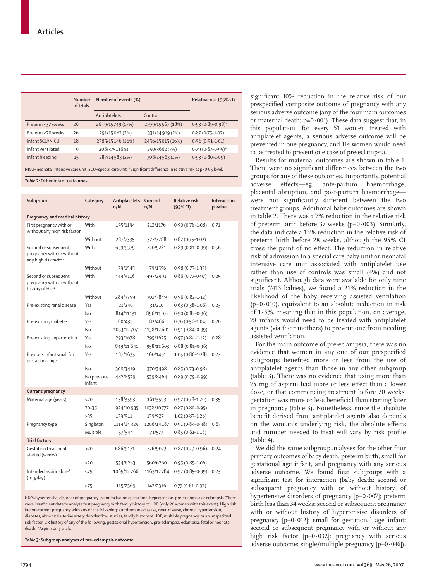|                   | <b>Number</b><br>of trials | Number of events (%) |                                                                                                                     | Relative risk (95% CI) |
|-------------------|----------------------------|----------------------|---------------------------------------------------------------------------------------------------------------------|------------------------|
|                   |                            | Antiplatelets        | Control                                                                                                             |                        |
| Preterm <37 weeks | 26                         | 2649/15749 (17%)     | 2799/15567 (18%)                                                                                                    | $0.93(0.89 - 0.98)^*$  |
| Preterm <28 weeks | 26                         | 291/15082 (2%)       | 331/14 919 (2%)                                                                                                     | $0.87(0.75 - 1.02)$    |
| Infant SCU/NICU   | 18                         | 2385/15146 (16%)     | 2456/15015 (16%)                                                                                                    | $0.96(0.91 - 1.01)$    |
| Infant ventilated | 9                          | 208/3751 (6%)        | 250/3662 (7%)                                                                                                       | $0.79(0.67 - 0.95)^*$  |
| Infant bleeding   | 15                         | 287/14583 (2%)       | 308/14563 (2%)                                                                                                      | $0.93(0.80 - 1.09)$    |
|                   |                            |                      | NICU=neonatal intensive care unit. SCU=special care unit. *Significant difference in relative risk at p=0.05 level. |                        |

*Table 2:* **Other infant outcomes**

| Subgroup                                                                  | Category              | Antiplatelets<br>n/N | Control<br>n/N | <b>Relative risk</b><br>(95% CI) | Interaction<br>p value |
|---------------------------------------------------------------------------|-----------------------|----------------------|----------------|----------------------------------|------------------------|
| Pregnancy and medical history                                             |                       |                      |                |                                  |                        |
| First pregnancy with or<br>without any high risk factor                   | With                  | 195/1194             | 212/1176       | $0.90(0.76 - 1.08)$              | 0.71                   |
|                                                                           | Without               | 287/7335             | 327/7288       | $0.87(0.75 - 1.02)$              |                        |
| Second or subsequent<br>pregnancy with or without<br>any high risk factor | With                  | 659/5375             | 720/5281       | $0.89(0.81 - 0.99)$              | 0.56                   |
|                                                                           | Without               | 79/1545              | 79/1556        | $0.98(0.73 - 1.33)$              |                        |
| Second or subsequent<br>pregnancy with or without<br>history of HDP       | With                  | 449/3116             | 497/2991       | $0.86(0.77-0.97)$                | 0.25                   |
|                                                                           | Without               | 289/3799             | 302/3849       | $0.96(0.82 - 1.12)$              |                        |
| Pre-existing renal disease                                                | Yes                   | 21/240               | 31/210         | $0.63(0.38 - 1.06)$              | 0.23                   |
|                                                                           | No                    | 814/11131            | 896/11072      | $0.90(0.82 - 0.96)$              |                        |
| Pre-existing diabetes                                                     | Yes                   | 60/439               | 82/466         | $0.76(0.56 - 1.04)$              | 0.26                   |
|                                                                           | No                    | 1053/12 707          | 1138/12601     | $0.91(0.84 - 0.99)$              |                        |
| Pre-existing hypertension                                                 | Yes                   | 293/1678             | 295/1625       | $0.97(0.84 - 1.12)$              | 0.28                   |
|                                                                           | No                    | 849/11 641           | 958/11603      | $0.88(0.81 - 0.96)$              |                        |
| Previous infant small for<br>qestational age                              | Yes                   | 187/1635             | 160/1491       | $1.05(0.86 - 1.28)$              | 0.27                   |
|                                                                           | No                    | 308/3419             | 370/3498       | $0.85(0.73 - 0.98)$              |                        |
|                                                                           | No previous<br>infant | 482/8529             | 539/8464       | $0.89(0.79 - 0.99)$              |                        |
| <b>Current pregnancy</b>                                                  |                       |                      |                |                                  |                        |
| Maternal age (years)                                                      | 20                    | 158/3593             | 161/3593       | $0.97(0.78 - 1.20)$              | 0.35                   |
|                                                                           | $20 - 35$             | 924/10 935           | 1038/10777     | $0.87(0.80 - 0.95)$              |                        |
|                                                                           | >35                   | 139/911              | 139/927        | $1.02(0.83 - 1.26)$              |                        |
| Pregnancy type                                                            | Singleton             | 1114/14 325          | 1206/14187     | $0.91(0.84 - 0.98)$              | 0.67                   |
|                                                                           | Multiple              | 57/544               | 71/577         | $0.85(0.61 - 1.18)$              |                        |
| <b>Trial factors</b>                                                      |                       |                      |                |                                  |                        |
| Gestation treatment<br>started (weeks)                                    | <20                   | 686/9171             | 776/9023       | $0.87(0.79 - 0.96)$              | 0.24                   |
|                                                                           | $\geq$ 20             | 534/6263             | 560/6260       | $0.95(0.85 - 1.06)$              |                        |
| Intended aspirin dose*<br>(mg/day)                                        | $\leq$ 75             | 1065/12766           | 1163/12784     | $0.92(0.85 - 0.99)$              | 0.23                   |
|                                                                           | >75                   | 115/2369             | 142/2316       | $0.77(0.61 - 0.97)$              |                        |

HDP=hypertensive disorder of pregnancy event including gestational hypertension, pre-eclampsia or eclampsia. There were insufficient data to analyse first pregnancy with family history of HDP (only 20 women with this event). High risk factor=current pregnancy with any of the following: autoimmune disease, renal disease, chronic hypertension, diabetes, abnormal uterine artery doppler flow studies, family history of HDP, multiple pregnancy, or an unspecified risk factor; OR history of any of the following: gestational hypertension, pre-eclampsia, eclampsia, fetal or neonatal death. \*Aspirin only trials.

*Table 3:* **Subgroup analyses of pre-eclampsia outcome**

significant 10% reduction in the relative risk of our prespecified composite outcome of pregnancy with any serious adverse outcome (any of the four main outcomes or maternal death; p=0·001). These data suggest that, in this population, for every 51 women treated with antiplatelet agents, a serious adverse outcome will be prevented in one pregnancy, and 114 women would need to be treated to prevent one case of pre-eclampsia.

Results for maternal outcomes are shown in table 1. There were no significant differences between the two groups for any of these outcomes. Importantly, potential adverse effects—eg, ante-partum haemorrhage, placental abruption, and post-partum haemorrhage were not significantly different between the two treatment groups. Additional baby outcomes are shown in table 2. There was a 7% reduction in the relative risk of preterm birth before 37 weeks ( $p=0.003$ ). Similarly, the data indicate a 13% reduction in the relative risk of preterm birth before 28 weeks, although the 95% CI cross the point of no effect. The reduction in relative risk of admission to a special care baby unit or neonatal intensive care unit associated with antiplatelet use rather than use of controls was small (4%) and not significant. Although data were available for only nine trials (7413 babies), we found a 21% reduction in the likelihood of the baby receiving assisted ventilation  $(p=0.010)$ , equivalent to an absolute reduction in risk of 1·3%, meaning that in this population, on average, 78 infants would need to be treated with antiplatelet agents (via their mothers) to prevent one from needing assisted ventilation.

For the main outcome of pre-eclampsia, there was no evidence that women in any one of our prespecified subgroups benefited more or less from the use of antiplatelet agents than those in any other subgroup (table 3). There was no evidence that using more than 75 mg of aspirin had more or less effect than a lower dose, or that commencing treatment before 20 weeks' gestation was more or less beneficial than starting later in pregnancy (table 3). Nonetheless, since the absolute benefit derived from antiplatelet agents also depends on the woman's underlying risk, the absolute effects and number needed to treat will vary by risk profile (table 4).

We did the same subgroup analyses for the other four primary outcomes of baby death, preterm birth, small for gestational age infant, and pregnancy with any serious adverse outcome. We found four subgroups with a significant test for interaction (baby death: second or subsequent pregnancy with or without history of hypertensive disorders of pregnancy  $[p=0.007]$ ; preterm birth less than 34 weeks: second or subsequent pregnancy with or without history of hypertensive disorders of pregnancy  $[p=0.012]$ ; small for gestational age infant: second or subsequent pregnancy with or without any high risk factor [p=0·032]; pregnancy with serious adverse outcome: single/multiple pregnancy  $[p=0.046]$ .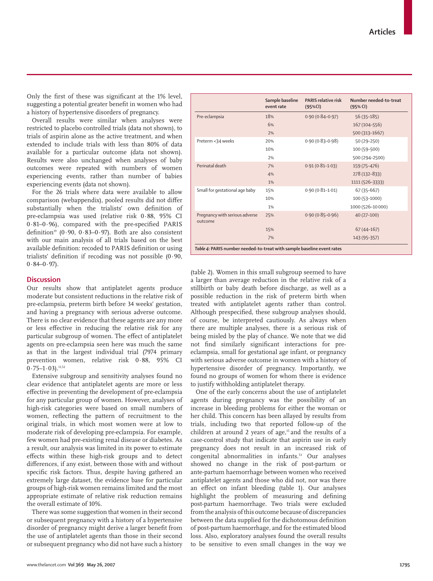**Number needed-to-treat** 

**(95% CI)**

Only the first of these was significant at the 1% level, suggesting a potential greater benefit in women who had a history of hypertensive disorders of pregnancy.

Overall results were similar when analyses were restricted to placebo controlled trials (data not shown), to trials of aspirin alone as the active treatment, and when extended to include trials with less than 80% of data available for a particular outcome (data not shown). Results were also unchanged when analyses of baby outcomes were repeated with numbers of women experiencing events, rather than number of babies experiencing events (data not shown).

For the 26 trials where data were available to allow comparison (webappendix), pooled results did not differ substantially when the trialists' own definition of pre-eclampsia was used (relative risk 0·88, 95% CI  $0.81-0.96$ ), compared with the pre-specified PARIS definition<sup>19</sup> (0·90, 0·83-0·97). Both are also consistent with our main analysis of all trials based on the best available definition: recoded to PARIS definition or using trialists' definition if recoding was not possible  $(0.90,$  $0.84 - 0.97$ .

## **Discussion**

Our results show that antiplatelet agents produce moderate but consistent reductions in the relative risk of pre-eclampsia, preterm birth before 34 weeks' gestation, and having a pregnancy with serious adverse outcome. There is no clear evidence that these agents are any more or less effective in reducing the relative risk for any particular subgroup of women. The effect of antiplatelet agents on pre-eclampsia seen here was much the same as that in the largest individual trial (7974 primary prevention women, relative risk 0·88, 95% CI  $0.75-1.03$ .  $11,52$ 

Extensive subgroup and sensitivity analyses found no clear evidence that antiplatelet agents are more or less effective in preventing the development of pre-eclampsia for any particular group of women. However, analyses of high-risk categories were based on small numbers of women, reflecting the pattern of recruitment to the original trials, in which most women were at low to moderate risk of developing pre-eclampsia. For example, few women had pre-existing renal disease or diabetes. As a result, our analysis was limited in its power to estimate effects within these high-risk groups and to detect differences, if any exist, between those with and without specific risk factors. Thus, despite having gathered an extremely large dataset, the evidence base for particular groups of high-risk women remains limited and the most appropriate estimate of relative risk reduction remains the overall estimate of 10%.

There was some suggestion that women in their second or subsequent pregnancy with a history of a hypertensive disorder of pregnancy might derive a larger benefit from the use of antiplatelet agents than those in their second or subsequent pregnancy who did not have such a history

| 2%<br>20% |                     | 500 (313-1667)                                                         |
|-----------|---------------------|------------------------------------------------------------------------|
|           |                     |                                                                        |
|           | $0.90(0.83 - 0.98)$ | 50 (29-250)                                                            |
| 10%       |                     | 100 (59-500)                                                           |
| 2%        |                     | 500 (294-2500)                                                         |
| 7%        | $0.91(0.81 - 1.03)$ | 159 (75-476)                                                           |
| 4%        |                     | 278 (132-833)                                                          |
| 1%        |                     | 1111 (526-3333)                                                        |
| 15%       | $0.90(0.81 - 1.01)$ | 67 (35-667)                                                            |
| 10%       |                     | 100 (53-1000)                                                          |
| 1%        |                     | 1000 (526-10000)                                                       |
| 25%       | $0.90(0.85 - 0.96)$ | 40 (27-100)                                                            |
| 15%       |                     | $67(44-167)$                                                           |
| 7%        |                     | 143 (95-357)                                                           |
|           |                     |                                                                        |
|           |                     | Table 4: PARIS number needed-to-treat with sample baseline event rates |

**Sample baseline event rate**

Pre-eclampsia 18% 0·90 (0·84–0·97) 56 (35–185)

**PARIS relative risk (95%CI)**

(table 2). Women in this small subgroup seemed to have a larger than average reduction in the relative risk of a stillbirth or baby death before discharge, as well as a possible reduction in the risk of preterm birth when treated with antiplatelet agents rather than control. Although prespecified, these subgroup analyses should, of course, be interpreted cautiously. As always when there are multiple analyses, there is a serious risk of being misled by the play of chance. We note that we did not find similarly significant interactions for preeclampsia, small for gestational age infant, or pregnancy with serious adverse outcome in women with a history of hypertensive disorder of pregnancy. Importantly, we found no groups of women for whom there is evidence to justify withholding antiplatelet therapy.

One of the early concerns about the use of antiplatelet agents during pregnancy was the possibility of an increase in bleeding problems for either the woman or her child. This concern has been allayed by results from trials, including two that reported follow-up of the children at around 2 years of age.<sup>15</sup> and the results of a case-control study that indicate that aspirin use in early pregnancy does not result in an increased risk of congenital abnormalities in infants.<sup>53</sup> Our analyses showed no change in the risk of post-partum or ante-partum haemorrhage between women who received antiplatelet agents and those who did not, nor was there an effect on infant bleeding (table 1). Our analyses highlight the problem of measuring and defining post-partum haemorrhage. Two trials were excluded from the analysis of this outcome because of discrepancies between the data supplied for the dichotomous definition of post-partum haemorrhage, and for the estimated blood loss. Also, exploratory analyses found the overall results to be sensitive to even small changes in the way we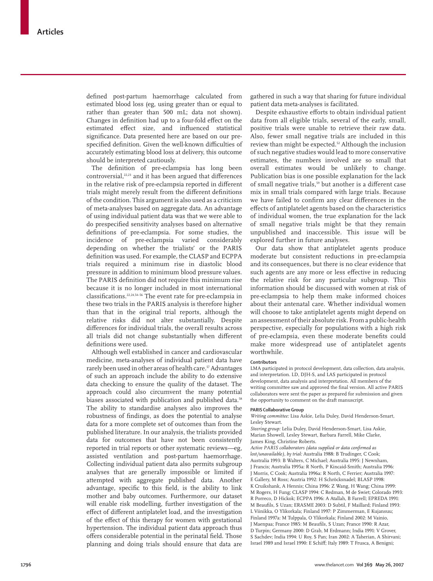defined post-partum haemorrhage calculated from estimated blood loss (eg, using greater than or equal to rather than greater than 500 mL; data not shown). Changes in definition had up to a four-fold effect on the estimated effect size, and influenced statistical significance. Data presented here are based on our prespecified definition. Given the well-known difficulties of accurately estimating blood loss at delivery, this outcome should be interpreted cautiously.

The definition of pre-eclampsia has long been controversial,<sup>22,23</sup> and it has been argued that differences in the relative risk of pre-eclampsia reported in different trials might merely result from the different definitions of the condition. This argument is also used as a criticism of meta-analyses based on aggregate data. An advantage of using individual patient data was that we were able to do prespecified sensitivity analyses based on alternative definitions of pre-eclampsia. For some studies, the incidence of pre-eclampsia varied considerably depending on whether the trialists' or the PARIS definition was used. For example, the CLASP and ECPPA trials required a minimum rise in diastolic blood pressure in addition to minimum blood pressure values. The PARIS definition did not require this minimum rise because it is no longer included in most international classifications.<sup>22,24,54-56</sup> The event rate for pre-eclampsia in these two trials in the PARIS analysis is therefore higher than that in the original trial reports, although the relative risks did not alter substantially. Despite differences for individual trials, the overall results across all trials did not change substantially when different definitions were used.

Although well established in cancer and cardiovascular medicine, meta-analyses of individual patient data have rarely been used in other areas of health care.<sup>57</sup> Advantages of such an approach include the ability to do extensive data checking to ensure the quality of the dataset. The approach could also circumvent the many potential biases associated with publication and published data.<sup>58</sup> The ability to standardise analyses also improves the robustness of findings, as does the potential to analyse data for a more complete set of outcomes than from the published literature. In our analysis, the trialists provided data for outcomes that have not been consistently reported in trial reports or other systematic reviews—eg, assisted ventilation and post-partum haemorrhage. Collecting individual patient data also permits subgroup analyses that are generally impossible or limited if attempted with aggregate published data. Another advantage, specific to this field, is the ability to link mother and baby outcomes. Furthermore, our dataset will enable risk modelling, further investigation of the effect of different antiplatelet load, and the investigation of the effect of this therapy for women with gestational hypertension. The individual patient data approach thus offers considerable potential in the perinatal field. Those planning and doing trials should ensure that data are

gathered in such a way that sharing for future individual patient data meta-analyses is facilitated.

Despite exhaustive efforts to obtain individual patient data from all eligible trials, several of the early, small, positive trials were unable to retrieve their raw data. Also, fewer small negative trials are included in this review than might be expected.<sup>52</sup> Although the inclusion of such negative studies would lead to more conservative estimates, the numbers involved are so small that overall estimates would be unlikely to change. Publication bias is one possible explanation for the lack of small negative trials.<sup>59</sup> but another is a different case mix in small trials compared with large trials. Because we have failed to confirm any clear differences in the effects of antiplatelet agents based on the characteristics of individual women, the true explanation for the lack of small negative trials might be that they remain unpublished and inaccessible. This issue will be explored further in future analyses.

Our data show that antiplatelet agents produce moderate but consistent reductions in pre-eclampsia and its consequences, but there is no clear evidence that such agents are any more or less effective in reducing the relative risk for any particular subgroup. This information should be discussed with women at risk of pre-eclampsia to help them make informed choices about their antenatal care. Whether individual women will choose to take antiplatelet agents might depend on an assessment of their absolute risk. From a public-health perspective, especially for populations with a high risk of pre-eclampsia, even these moderate benefits could make more widespread use of antiplatelet agents worthwhile.

#### **Contributors**

LMA participated in protocol development, data collection, data analysis, and interpretation. LD, DJH-S, and LAS participated in protocol development, data analysis and interpretation. All members of the writing committee saw and approved the final version. All active PARIS collaborators were sent the paper as prepared for submission and given the opportunity to comment on the draft manuscript.

## **PARIS Collaborative Group**

*Writing committee:* Lisa Askie, Lelia Duley, David Henderson-Smart, Lesley Stewart.

*Steering group:* Lelia Duley, David Henderson-Smart, Lisa Askie, Marian Showell, Lesley Stewart, Barbara Farrell, Mike Clarke, James King, Christine Roberts.

Active PARIS collaborators (data supplied or data confirmed as *lost/unavailable), by trial:* Australia 1988: B Trudinger, C Cook; Australia 1993: B Walters, C Michael; Australia 1995: J Newnham, J Francis; Australia 1995a: R North, P Kincaid-Smith; Australia 1996: J Morris, C Cook; Australia 1996a: R North, C Ferrier; Australia 1997: E Gallery, M Ross; Austria 1992: H Schröcksnadel; BLASP 1998: K Cruikshank, A Hennis; China 1996: Z Wang, H Wang; China 1999: M Rogers, H Fung; CLASP 1994: C Redman, M de Swiet; Colorado 1993: R Porreco, D Hickok; ECPPA 1996: A Atallah, B Farrell; EPREDA 1991: M Beaufils, S Uzan; ERASME 2003: D Subtil, F Maillard; Finland 1993: L Viinikka, O Ylikorkala; Finland 1997: P Zimmerman, E Kujansuu; Finland 1997a: M Tulppala, O Ylikorkala; Finland 2002: M Vainio, J Maenpaa; France 1985: M Beaufils, S Uzan; France 1990: R Azar, D Turpin; Germany 2000: D Grab, M Erdmann; India 1991: V Grover, S Sachdev; India 1994: U Roy, S Pan; Iran 2002: A Taherian, A Shirvani; Israel 1989 and Israel 1990: E Schiff; Italy 1989: T Frusca, A Benigni;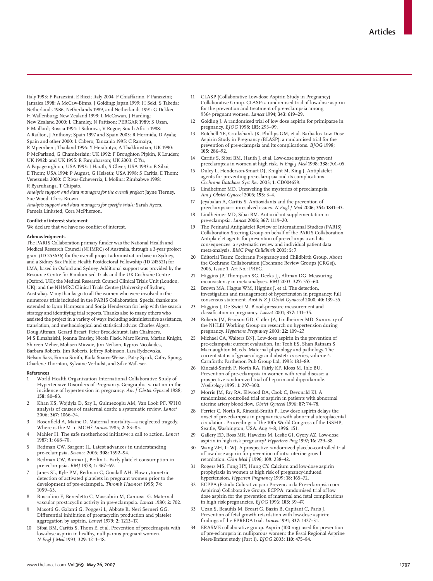Italy 1993: F Parazzini, E Ricci; Italy 2004: F Chiaffarino, F Parazzini; Jamaica 1998: A McCaw-Binns, J Golding; Japan 1999: H Seki, S Takeda; Netherlands 1986, Netherlands 1989, and Netherlands 1991: G Dekker, H Wallenburg; New Zealand 1999: L McCowan, J Harding; New Zealand 2000: L Chamley, N Pattison; PERGAR 1989: S Uzan, F Maillard; Russia 1994: I Sidorova, V Rogov; South Africa 1988: A Railton, J Anthony; Spain 1997 and Spain 2003: R Hermida, D Ayala; Spain and other 2000: L Cabero; Tanzania 1995: C Ramaiya, R Mpembeni; Thailand 1996: Y Herabutya, A Thakkinstian; UK 1990: P McParland, G Chamberlain; UK 1992: F Broughton Pipkin, K Louden; UK 1992b and UK 1995: R Farquharson; UK 2003: C Yu, A Papageorghiou; USA 1993: J Hauth, S Cliver; USA 1993a: B Sibai, E Thom; USA 1994: P August, G Helseth; USA 1998: S Caritis, E Thom;

Venezuela 2000: C Rivas-Echeverria, L Molina; Zimbabwe 1998: R Byaruhanga, T Chipato.

*Analysis support and data managers for the overall project:* Jayne Tierney, Sue Wood, Chris Brown.

Analysis support and data managers for specific trials: Sarah Ayers, Pamela Linksted, Cora McPherson.

#### **Confl ict of interest statement**

We declare that we have no conflict of interest.

#### **Acknowledgments**

The PARIS Collaboration primary funder was the National Health and Medical Research Council (NHMRC) of Australia, through a 3-year project grant (ID 253636) for the overall project administration base in Sydney, and a Sidney Sax Public Health Postdoctoral Fellowship (ID 245521) for LMA, based in Oxford and Sydney. Additional support was provided by the Resource Centre for Randomised Trials and the UK Cochrane Centre (Oxford, UK); the Medical Research Council Clinical Trials Unit (London, UK); and the NHMRC Clinical Trials Centre (University of Sydney, Australia). Many thanks go to all the women who were involved in the numerous trials included in the PARIS Collaboration. Special thanks are extended to Lynn Hampson and Sonja Henderson for help with the search strategy and identifying trial reports. Thanks also to many others who assisted the project in a variety of ways including administrative assistance, translation, and methodological and statistical advice: Charles Algert, Doug Altman, Gerard Breart, Peter Brocklehurst, Iain Chalmers, M S Elmahaishi, Joanna Emsley, Nicola Flack, Marc Keirse, Marian Knight, Shireen Meher, Mohsen Mirzaie, Jim Neilson, Kypros Nicolaides, Barbara Roberts, Jim Roberts, Jeffrey Robinson, Lara Rydzewska, Nelson Sass, Emma Smith, Karla Soares-Weiser, Patsy Spark, Cathy Spong, Charlene Thornton, Sylvaine Verhulst, and Silke Walleser.

#### **References**

- 1 World Health Organization International Collaborative Study of Hypertensive Disorders of Pregnancy. Geographic variation in the incidence of hypertension in pregnancy. *Am J Obstet Gynecol* 1988; **158:** 80–83.
- 2 Khan KS, Wojdyla D, Say L, Gulmezoglu AM, Van Look PF. WHO analysis of causes of maternal death: a systematic review. *Lancet* 2006; **367:** 1066–74.
- Rosenfield A, Maine D. Maternal mortality—a neglected tragedy. Where is the M in MCH? *Lancet* 1985; **2:** 83–85.
- 4 Mahler H. The safe motherhood initiative: a call to action. *Lancet* 1987; **1:** 668–70.
- 5 Redman CW, Sargent IL. Latest advances in understanding pre-eclampsia. *Science* 2005; **308:** 1592–94.
- 6 Redman CW, Bonnar J, Beilin L. Early platelet consumption in pre-eclampsia. *BMJ* 1978; **1:** 467–69.
- Janes SL, Kyle PM, Redman C, Goodall AH. Flow cytometric detection of activated platelets in pregnant women prior to the development of pre-eclampsia. *Thromb Haemost* 1995; **74:**  $1059 - 63$ .
- 8 Bussolino F, Benedetto C, Massobrio M, Camussi G. Maternal vascular prostacyclin activity in pre-eclampsia. *Lancet* 1980; **2:** 702.
- 9 Masotti G, Galanti G, Poggesi L, Abbate R, Neri Serneri GG. Differential inhibition of prostacyclin production and platelet aggregation by aspirin. *Lancet* 1979; **2:** 1213–17.
- 10 Sibai BM, Caritis S, Thom E, et al. Prevention of preeclmapsia with low-dose aspirin in healthy, nulliparous pregnant women. *N Engl J Med* 1993; **329:** 1213–18.
- CLASP (Collaborative Low-dose Aspirin Study in Pregnancy) Collaborative Group. CLASP: a randomised trial of low-dose aspirin for the prevention and treatment of pre-eclampsia among 9364 pregnant women. *Lancet* 1994; **343:** 619–29.
- Golding J. A randomised trial of low dose aspirin for primiparae in pregnancy. *BJOG* 1998; **105:** 293–99.
- Rotchell YE, Cruikshank JK, Phillips GM, et al. Barbados Low Dose Aspirin Study in Pregnancy (BLASP): a randomised trial for the prevention of pre-eclampsia and its complications. *BJOG* 1998; **105:** 286–92.
- Caritis S, Sibai BM, Hauth J, et al. Low-dose aspirin to prevent preeclampsia in women at high risk. *N Engl J Med* 1998; **338:** 701–05.
- 15 Duley L, Henderson-Smart DJ, Knight M, King J. Antiplatelet agents for preventing pre-eclampsia and its complications. *Cochrane Database Syst Rev* 2003; **1:** CD004659.
- Lindheimer MD. Unraveling the mysteries of preeclampsia. *Am J Obstet Gynecol* 2005; **193:** 3–4.
- 17 Jeyabalan A, Caritis S. Antioxidants and the prevention of preeclampsia—unresolved issues. *N Engl J Med* 2006; **354:** 1841–43.
- 18 Lindheimer MD, Sibai BM. Antioxidant supplementation in pre-eclampsia. *Lancet* 2006; **367:** 1119–20.
- 19 The Perinatal Antiplatelet Review of International Studies (PARIS) Collaboration Steering Group on behalf of the PARIS Collaboration. Antiplatelet agents for prevention of pre-eclampsia and its consequences: a systematic review and individual patient data meta-analysis. *BMC Preg Childbirth* 2005; **5:** 7.
- 20 Editorial Team: Cochrane Pregnancy and Childbirth Group, About the Cochrane Collaboration (Cochrane Review Groups (CRGs)). 2005, Issue 1. Art No.: PREG.
- 21 Higgins JP, Thompson SG, Deeks JJ, Altman DG. Measuring inconsistency in meta-analyses. *BMJ* 2003; **327:** 557–60.
- 22 Brown MA, Hague WM, Higgins J, et al. The detection, investigation and management of hypertension in pregnancy: full consensus statement. *Aust N Z J Obstet Gynaecol* 2000; **40:** 139–55.
- 23 Higgins J, De Swiet M. Blood-pressure measurement and classification in pregnancy. *Lancet* 2001; 357: 131-35.
- 24 Roberts JM, Pearson GD, Cutler JA, Lindheimer MD. Summary of the NHLBI Working Group on research on hypertension during pregnancy. *Hypertens Pregnancy* 2003; **22:** 109–27.
- 25 Michael CA, Walters BNJ. Low-dose aspirin in the prevention of pre-eclampsia: current evaluation. In: Teoh ES, Shan Ratnam S, Macnaughton M, eds. Maternal physiology and pathology. The current status of gynaecology and obstetrics series, volume 4. Carnforth: Parthenon Pub Group Ltd, 1993: 183–89.
- 26 Kincaid-Smith P, North RA, Fairly KF, Kloss M, Ihle BU. Prevention of pre-eclampsia in women with renal disease: a prospective randomized trial of heparin and dipyridamole. *Nephrology* 1995; **1:** 297–300.
- 27 Morris JM, Fay RA, Ellwood DA, Cook C, Devonald KJ. A randomized controlled trial of aspirin in patients with abnormal uterine artery blood flow. Obstet Gynecol 1996; 87: 74-78.
- 28 Ferrier C, North R, Kincaid-Smith P. Low dose aspirin delays the onset of pre-eclampsia in pregnancies with abnormal uteroplacental circulation. Proceedings of the 10th World Congress of the ISSHP, Seattle, Washington, USA. Aug 4–8, 1996. 151.
- 29 Gallery ED, Ross MR, Hawkins M, Leslie GI, Gyory AZ. Low-dose aspirin in high risk pregnancy? *Hypertens Preg* 1997; **16:** 229–38.
- 30 Wang ZH, Li WJ. A prospective randomized placebo-controlled trial of low dose aspirin for prevention of intra uterine growth retardation. *Chin Med J* 1996; **109:** 238–42.
- Rogers MS, Fung HY, Hung CY. Calcium and low-dose aspirin prophylaxis in women at high risk of pregnancy-induced hypertension. *Hyperten Pregnancy* 1999; **18:** 165–72.
- 32 ECPPA (Estudo Colorativo para Prevencao da Pre-eclampsia com Aspirina) Collaborative Group. ECPPA: randomised trial of low dose aspirin for the prevention of maternal and fetal complications in high risk pregnancies. *BJOG* 1996; **103:** 39–47.
- 33 Uzan S, Beaufils M, Breart G, Bazin B, Capitant C, Paris J. Prevention of fetal growth retardation with low-dose aspirin: fi ndings of the EPREDA trial. *Lancet* 1991; **337:** 1427–31.
- 34 ERASME collaborative group. Asprin (100 mg) used for prevention of pre-eclampsia in nulliparous women: the Essai Regional Asprine Mere-Enfant study (Part 1). *BJOG* 2003; **110:** 475–84.